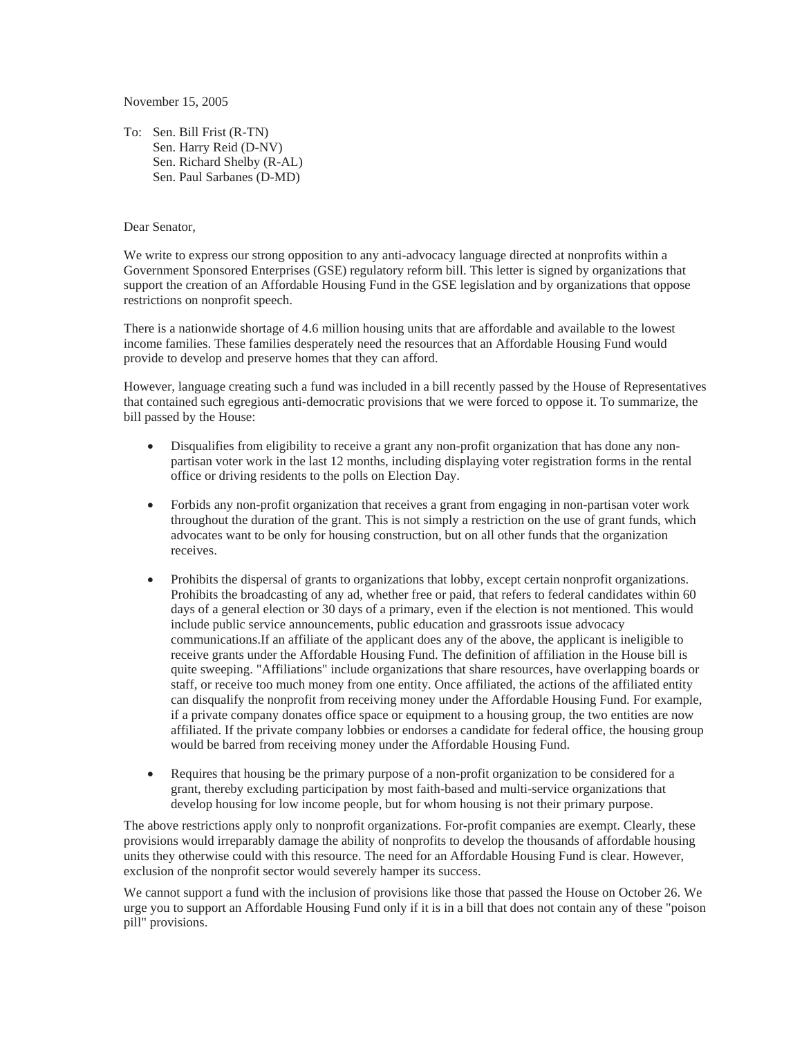November 15, 2005

To: Sen. Bill Frist (R-TN) Sen. Harry Reid (D-NV) Sen. Richard Shelby (R-AL) Sen. Paul Sarbanes (D-MD)

## Dear Senator,

We write to express our strong opposition to any anti-advocacy language directed at nonprofits within a Government Sponsored Enterprises (GSE) regulatory reform bill. This letter is signed by organizations that support the creation of an Affordable Housing Fund in the GSE legislation and by organizations that oppose restrictions on nonprofit speech.

There is a nationwide shortage of 4.6 million housing units that are affordable and available to the lowest income families. These families desperately need the resources that an Affordable Housing Fund would provide to develop and preserve homes that they can afford.

However, language creating such a fund was included in a bill recently passed by the House of Representatives that contained such egregious anti-democratic provisions that we were forced to oppose it. To summarize, the bill passed by the House:

- Disqualifies from eligibility to receive a grant any non-profit organization that has done any nonpartisan voter work in the last 12 months, including displaying voter registration forms in the rental office or driving residents to the polls on Election Day.
- Forbids any non-profit organization that receives a grant from engaging in non-partisan voter work throughout the duration of the grant. This is not simply a restriction on the use of grant funds, which advocates want to be only for housing construction, but on all other funds that the organization receives.
- Prohibits the dispersal of grants to organizations that lobby, except certain nonprofit organizations. Prohibits the broadcasting of any ad, whether free or paid, that refers to federal candidates within 60 days of a general election or 30 days of a primary, even if the election is not mentioned. This would include public service announcements, public education and grassroots issue advocacy communications.If an affiliate of the applicant does any of the above, the applicant is ineligible to receive grants under the Affordable Housing Fund. The definition of affiliation in the House bill is quite sweeping. "Affiliations" include organizations that share resources, have overlapping boards or staff, or receive too much money from one entity. Once affiliated, the actions of the affiliated entity can disqualify the nonprofit from receiving money under the Affordable Housing Fund. For example, if a private company donates office space or equipment to a housing group, the two entities are now affiliated. If the private company lobbies or endorses a candidate for federal office, the housing group would be barred from receiving money under the Affordable Housing Fund.
- x Requires that housing be the primary purpose of a non-profit organization to be considered for a grant, thereby excluding participation by most faith-based and multi-service organizations that develop housing for low income people, but for whom housing is not their primary purpose.

The above restrictions apply only to nonprofit organizations. For-profit companies are exempt. Clearly, these provisions would irreparably damage the ability of nonprofits to develop the thousands of affordable housing units they otherwise could with this resource. The need for an Affordable Housing Fund is clear. However, exclusion of the nonprofit sector would severely hamper its success.

We cannot support a fund with the inclusion of provisions like those that passed the House on October 26. We urge you to support an Affordable Housing Fund only if it is in a bill that does not contain any of these "poison pill" provisions.